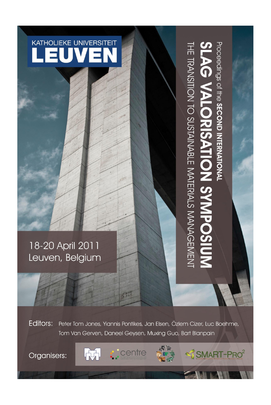

# 18-20 April 2011 Leuven, Belgium

Proceedings of the SECOND INTERNATIONAL THE TRANSITION TO SUSTAINABLE MATERIALS MANAGEMENT SLAG VALORISATION SYMPOSIUN

SMART-PRO<sup>2</sup>

**Editors:** Peter Tom Jones, Yiannis Pontikes, Jan Elsen, Özlem Cizer, Luc Boehme, Tom Van Gerven, Daneel Geysen, Muxing Guo, Bart Blanpain

点

Organisers:



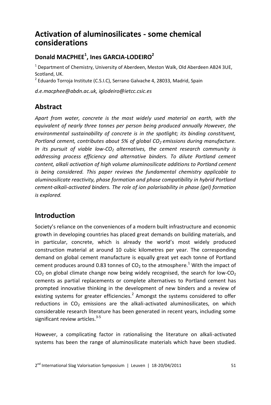# **Activation of aluminosilicates - some chemical considerations**

# **Donald MACPHEE<sup>1</sup> , Ines GARCIA-LODEIRO<sup>2</sup>**

<sup>1</sup> Department of Chemistry, University of Aberdeen, Meston Walk, Old Aberdeen AB24 3UE, Scotland, UK.

<sup>2</sup> Eduardo Torroja Institute (C.S.I.C), Serrano Galvache 4, 28033, Madrid, Spain

*d.e.macphee@abdn.ac.uk, iglodeiro@ietcc.csic.es*

## **Abstract**

*Apart from water, concrete is the most widely used material on earth, with the equivalent of nearly three tonnes per person being produced annually However, the environmental sustainability of concrete is in the spotlight; its binding constituent, Portland cement, contributes about 5% of global CO2 emissions during manufacture. In its pursuit of viable low-CO2 alternatives, the cement research community is addressing process efficiency and alternative binders. To dilute Portland cement content, alkali activation of high volume aluminosilicate additions to Portland cement is being considered. This paper reviews the fundamental chemistry applicable to aluminosilicate reactivity, phase formation and phase compatibility in hybrid Portland cement-alkali-activated binders. The role of ion polarisability in phase (gel) formation is explored.*

### **Introduction**

Society's reliance on the conveniences of a modern built infrastructure and economic growth in developing countries has placed great demands on building materials, and in particular, concrete, which is already the world's most widely produced construction material at around 10 cubic kilometres per year. The corresponding demand on global cement manufacture is equally great yet each tonne of Portland cement produces around 0.83 tonnes of  $CO<sub>2</sub>$  to the atmosphere.<sup>1</sup> With the impact of  $CO<sub>2</sub>$  on global climate change now being widely recognised, the search for low- $CO<sub>2</sub>$ cements as partial replacements or complete alternatives to Portland cement has prompted innovative thinking in the development of new binders and a review of existing systems for greater efficiencies. $^2$  Amongst the systems considered to offer reductions in  $CO<sub>2</sub>$  emissions are the alkali-activated aluminosilicates, on which considerable research literature has been generated in recent years, including some significant review articles.<sup>3-5</sup>

However, a complicating factor in rationalising the literature on alkali-activated systems has been the range of aluminosilicate materials which have been studied.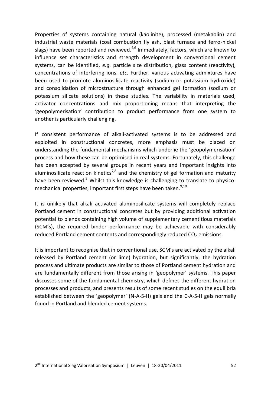Properties of systems containing natural (kaolinite), processed (metakaolin) and industrial waste materials (coal combustion fly ash, blast furnace and ferro-nickel slags) have been reported and reviewed. $4,6$  Immediately, factors, which are known to influence set characteristics and strength development in conventional cement systems, can be identified, *e.g.* particle size distribution, glass content (reactivity), concentrations of interfering ions, *etc.* Further, various activating admixtures have been used to promote aluminosilicate reactivity (sodium or potassium hydroxide) and consolidation of microstructure through enhanced gel formation (sodium or potassium silicate solutions) in these studies. The variability in materials used, activator concentrations and mix proportioning means that interpreting the 'geopolymerisation' contribution to product performance from one system to another is particularly challenging.

If consistent performance of alkali-activated systems is to be addressed and exploited in constructional concretes, more emphasis must be placed on understanding the fundamental mechanisms which underlie the 'geopolymerisation' process and how these can be optimised in real systems. Fortunately, this challenge has been accepted by several groups in recent years and important insights into aluminosilicate reaction kinetics<sup>7,8</sup> and the chemistry of gel formation and maturity have been reviewed.<sup>3</sup> Whilst this knowledge is challenging to translate to physicomechanical properties, important first steps have been taken.<sup>9,10</sup>

It is unlikely that alkali activated aluminosilicate systems will completely replace Portland cement in constructional concretes but by providing additional activation potential to blends containing high volume of supplementary cementitious materials (SCM's), the required binder performance may be achievable with considerably reduced Portland cement contents and correspondingly reduced  $CO<sub>2</sub>$  emissions.

It is important to recognise that in conventional use, SCM's are activated by the alkali released by Portland cement (or lime) hydration, but significantly, the hydration process and ultimate products are similar to those of Portland cement hydration and are fundamentally different from those arising in 'geopolymer' systems. This paper discusses some of the fundamental chemistry, which defines the different hydration processes and products, and presents results of some recent studies on the equilibria established between the 'geopolymer' (N-A-S-H) gels and the C-A-S-H gels normally found in Portland and blended cement systems.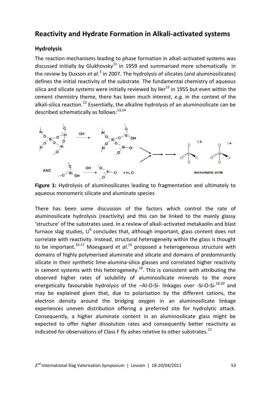### **Reactivity and Hydrate Formation in Alkali-activated systems**

#### **Hydrolysis**

The reaction mechanisms leading to phase formation in alkali-activated systems was discussed initially by Glukhovsky $^{11}$  in 1959 and summarised more schematically in the review by Duxson *et al.*<sup>3</sup> in 2007. The hydrolysis of silicates (and aluminosilicates) defines the initial reactivity of the substrate. The fundamental chemistry of aqueous silica and silicate systems were initially reviewed by Iler<sup>12</sup> in 1955 but even within the cement chemistry theme, there has been much interest, *e.g.* in the context of the alkali-silica reaction.<sup>13</sup> Essentially, the alkaline hydrolysis of an aluminosilicate can be described schematically as follows: $^{13,14}$ 



**Figure 1:** Hydrolysis of aluminosilicates leading to fragmentation and ultimately to aqueous monomeric silicate and aluminate species

There has been some discussion of the factors which control the rate of aluminosilicate hydrolysis (reactivity) and this can be linked to the mainly glassy 'structure' of the substrates used. In a review of alkali-activated metakaolin and blast furnace slag studies, Li<sup>6</sup> concludes that, although important, glass content does not correlate with reactivity. Instead, structural heterogeneity within the glass is thought to be important.<sup>15-17</sup> Moesgaard *et al.*<sup>15</sup> proposed a heterogeneous structure with domains of highly polymerised aluminate and silicate and domains of predominantly silicate in their synthetic lime-alumina-silica glasses and correlated higher reactivity in cement systems with this heterogeneity.<sup>18</sup>. This is consistent with attributing the observed higher rates of solubility of aluminosilicate minerals to the more energetically favourable hydrolysis of the -Al-O-Si- linkages over -Si-O-Si-<sup>19,20</sup> and may be explained given that, due to polarisation by the different cations, the electron density around the bridging oxygen in an aluminosilicate linkage experiences uneven distribution offering a preferred site for hydrolytic attack. Consequently, a higher aluminate content in an aluminosilicate glass might be expected to offer higher dissolution rates and consequently better reactivity as indicated for observations of Class F fly ashes relative to other substrates.<sup>17</sup>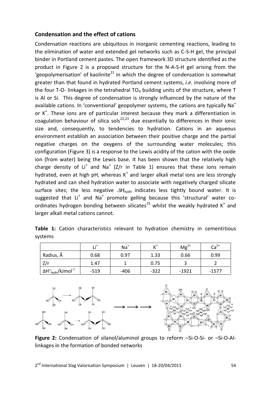#### **Condensation and the effect of cations**

Condensation reactions are ubiquitous in inorganic cementing reactions, leading to the elimination of water and extended gel networks such as C-S-H gel, the principal binder in Portland cement pastes. The open framework 3D structure identified as the product in Figure 2 is a proposed structure for the N-A-S-H gel arising from the 'geopolymerisation' of kaolinite<sup>21</sup> in which the degree of condensation is somewhat greater than that found in hydrated Portland cement systems, *i.e.* involving more of the four T-O- linkages in the tetrahedral  $TO<sub>4</sub>$  building units of the structure, where T is Al or Si. This degree of condensation is strongly influenced by the nature of the available cations. In 'conventional' geopolymer systems, the cations are typically Na<sup>+</sup> or K<sup>+</sup>. These ions are of particular interest because they mark a differentiation in coagulation behaviour of silica sols<sup>22,23</sup> due essentially to differences in their ionic size and, consequently, to tendencies to hydration. Cations in an aqueous environment establish an association between their positive charge and the partial negative charges on the oxygens of the surrounding water molecules; this configuration (Figure 3) is a response to the Lewis acidity of the cation with the oxide ion (from water) being the Lewis base. It has been shown that the relatively high charge density of Li<sup>+</sup> and Na<sup>+</sup> (Z/r in Table 1) ensures that these ions remain hydrated, even at high pH, whereas  $K^+$  and larger alkali metal ions are less strongly hydrated and can shed hydration water to associate with negatively charged silicate surface sites; the less negative  $\Delta H_{hydn}$  indicates less tightly bound water. It is suggested that Li<sup>+</sup> and Na<sup>+</sup> promote gelling because this 'structural' water coordinates hydrogen bonding between silicates<sup>23</sup> whilst the weakly hydrated K<sup>+</sup> and larger alkali metal cations cannot.

|         |  | Table 1: Cation characteristics relevant to hydration chemistry in cementitious |  |  |  |
|---------|--|---------------------------------------------------------------------------------|--|--|--|
| systems |  |                                                                                 |  |  |  |

|                                                       | ı :*   | $Na+$  |        | $Mg^{2+}$ | $Ca2+$  |
|-------------------------------------------------------|--------|--------|--------|-----------|---------|
| Radius, Å                                             | 0.68   | 0.97   | 1.33   | 0.66      | 0.99    |
|                                                       | 1.47   |        | 0.75   |           |         |
| <sup>ι</sup> ΔΗ° <sub>hydn</sub> /kJmol <sup>-1</sup> | $-519$ | $-406$ | $-322$ | $-1921$   | $-1577$ |



**Figure 2:** Condensation of silanol/aluminol groups to reform –Si-O-Si- or –Si-O-Allinkages in the formation of bonded networks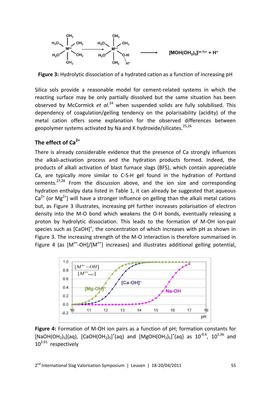

**Figure 3:** Hydrolytic dissociation of a hydrated cation as a function of increasing pH

Silica sols provide a reasonable model for cement-related systems in which the reacting surface may be only partially dissolved but the same situation has been observed by McCormick *et al.*<sup>24</sup> when suspended solids are fully solubilised. This dependency of coagulation/gelling tendency on the polarisability (acidity) of the metal cation offers some explanation for the observed differences between geopolymer systems activated by Na and K hydroxide/silicates.<sup>25,26</sup>

#### **The effect of Ca2+**

There is already considerable evidence that the presence of Ca strongly influences the alkali-activation process and the hydration products formed. Indeed, the products of alkali activation of blast furnace slags (BFS), which contain appreciable Ca, are typically more similar to C-S-H gel found in the hydration of Portland cements.<sup>27,28</sup> From the discussion above, and the ion size and corresponding hydration enthalpy data listed in Table 1, it can already be suggested that aqueous  $Ca<sup>2+</sup>$  (or Mg<sup>2+</sup>) will have a stronger influence on gelling than the alkali metal cations but, as Figure 3 illustrates, increasing pH further increases polarisation of electron density into the M-O bond which weakens the O-H bonds, eventually releasing a proton by hydrolytic dissociation. This leads to the formation of M-OH ion-pair species such as  $[CaOH]^{+}$ , the concentration of which increases with pH as shown in Figure 3. The increasing strength of the M-O interaction is therefore summarised in Figure 4 (as  $[M^{n+}-OH]/[M^{n+}]$  increases) and illustrates additional gelling potential,



**Figure 4:** Formation of M-OH ion pairs as a function of pH; formation constants for [NaOH(OH<sub>2</sub>)<sub>5</sub>](aq), [CaOH(OH<sub>2</sub>)<sub>5</sub>]<sup>+</sup>(aq) and [MgOH(OH<sub>2</sub>)<sub>5</sub>]<sup>+</sup>(aq) as 10<sup>-0.4</sup>, 10<sup>1.36</sup> and  $10^{2.01}$  respectively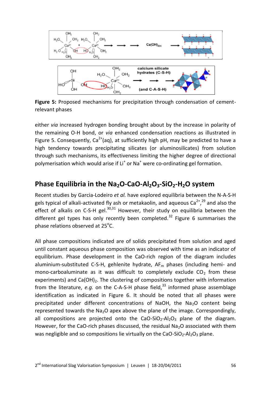

**Figure 5:** Proposed mechanisms for precipitation through condensation of cementrelevant phases

either *via* increased hydrogen bonding brought about by the increase in polarity of the remaining O-H bond, or *via* enhanced condensation reactions as illustrated in Figure 5. Consequently,  $Ca^{2+}(aq)$ , at sufficiently high pH, may be predicted to have a high tendency towards precipitating silicates (or aluminosilicates) from solution through such mechanisms, its effectiveness limiting the higher degree of directional polymerisation which would arise if Li<sup>+</sup> or Na<sup>+</sup> were co-ordinating gel formation.

### **Phase Equilibria in the Na2O-CaO-Al2O3-SiO2-H2O system**

Recent studies by Garcia-Lodeiro *et al.* have explored equilibria between the N-A-S-H gels typical of alkali-activated fly ash or metakaolin, and aqueous Ca<sup>2+</sup>,<sup>29</sup> and also the effect of alkalis on C-S-H gel.<sup>30,31</sup> However, their study on equilibria between the different gel types has only recently been completed.<sup>32</sup> Figure 6 summarises the phase relations observed at 25 $\mathrm{^oC}$ .

All phase compositions indicated are of solids precipitated from solution and aged until constant aqueous phase composition was observed with time as an indicator of equilibrium. Phase development in the CaO-rich region of the diagram includes aluminium-substituted C-S-H, gehlenite hydrate,  $AF<sub>m</sub>$  phases (including hemi- and mono-carboaluminate as it was difficult to completely exclude  $CO<sub>2</sub>$  from these experiments) and Ca(OH)<sub>2</sub>. The clustering of compositions together with information from the literature,  $e.q.$  on the C-A-S-H phase field,<sup>33</sup> informed phase assemblage identification as indicated in Figure 6. It should be noted that all phases were precipitated under different concentrations of NaOH, the Na<sub>2</sub>O content being represented towards the  $Na<sub>2</sub>O$  apex above the plane of the image. Correspondingly, all compositions are projected onto the CaO-SiO<sub>2</sub>-Al<sub>2</sub>O<sub>3</sub> plane of the diagram. However, for the CaO-rich phases discussed, the residual Na<sub>2</sub>O associated with them was negligible and so compositions lie virtually on the CaO-SiO<sub>2</sub>-Al<sub>2</sub>O<sub>3</sub> plane.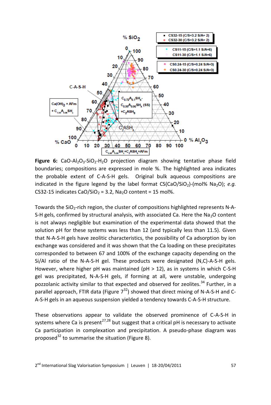

**Figure 6:** CaO-Al<sub>2</sub>O<sub>3</sub>-SiO<sub>2</sub>-H<sub>2</sub>O projection diagram showing tentative phase field boundaries; compositions are expressed in mole %. The highlighted area indicates the probable extent of C-A-S-H gels. Original bulk aqueous compositions are indicated in the figure legend by the label format  $CS(CaO/SiO<sub>2</sub>)-(mol% Na<sub>2</sub>O); e.g.$ CS32-15 indicates CaO/SiO<sub>2</sub> = 3.2, Na<sub>2</sub>O content = 15 mol%.

Towards the SiO<sub>2</sub>-rich region, the cluster of compositions highlighted represents N-A-S-H gels, confirmed by structural analysis, with associated Ca. Here the  $Na<sub>2</sub>O$  content is not always negligible but examination of the experimental data showed that the solution pH for these systems was less than 12 (and typically less than 11.5). Given that N-A-S-H gels have zeolitic characteristics, the possibility of Ca adsorption by ion exchange was considered and it was shown that the Ca loading on these precipitates corresponded to between 67 and 100% of the exchange capacity depending on the Si/Al ratio of the N-A-S-H gel. These products were designated (N,C)-A-S-H gels. However, where higher pH was maintained (pH > 12), as in systems in which C-S-H gel was precipitated, N-A-S-H gels, if forming at all, were unstable, undergoing pozzolanic activity similar to that expected and observed for zeolites.<sup>34</sup> Further, in a parallel approach, FTIR data (Figure  $7^{32}$ ) showed that direct mixing of N-A-S-H and C-A-S-H gels in an aqueous suspension yielded a tendency towards C-A-S-H structure.

These observations appear to validate the observed prominence of C-A-S-H in systems where Ca is present<sup>27,28</sup> but suggest that a critical pH is necessary to activate Ca participation in complexation and precipitation. A pseudo-phase diagram was proposed<sup>32</sup> to summarise the situation (Figure 8).

2<sup>nd</sup> International Slag Valorisation Symposium | Leuven | 18-20/04/2011 **1988** 1999 1999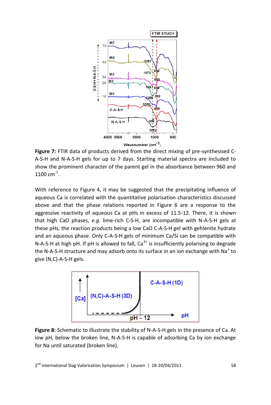

**Figure 7:** FTIR data of products derived from the direct mixing of pre-synthesised C-A-S-H and N-A-S-H gels for up to 7 days. Starting material spectra are included to show the prominent character of the parent gel in the absorbance between 960 and  $1100 \text{ cm}^{-1}$ .

With reference to Figure 4, it may be suggested that the precipitating influence of aqueous Ca is correlated with the quantitative polarisation characteristics discussed above and that the phase relations reported in Figure 6 are a response to the aggressive reactivity of aqueous Ca at pHs in excess of 11.5-12. There, it is shown that high CaO phases, *e.g.* lime-rich C-S-H, are incompatible with N-A-S-H gels at these pHs, the reaction products being a low CaO C-A-S-H gel with gehlenite hydrate and an aqueous phase. Only C-A-S-H gels of minimum Ca/Si can be compatible with N-A-S-H at high pH. If pH is allowed to fall,  $Ca<sup>2+</sup>$  is insufficiently polarising to degrade the N-A-S-H structure and may adsorb onto its surface in an ion exchange with Na<sup>+</sup> to give (N,C)-A-S-H gels.



**Figure 8:** Schematic to illustrate the stability of N-A-S-H gels in the presence of Ca. At low pH, below the broken line, N-A-S-H is capable of adsorbing Ca by ion exchange for Na until saturated (broken line).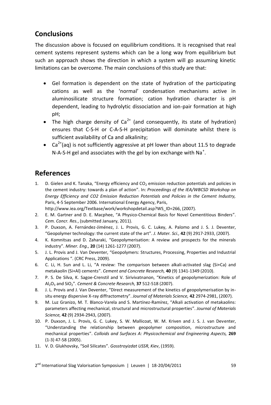# **Conclusions**

The discussion above is focused on equilibrium conditions. It is recognised that real cement systems represent systems which can be a long way from equilibrium but such an approach shows the direction in which a system will go assuming kinetic limitations can be overcome. The main conclusions of this study are that:

- Gel formation is dependent on the state of hydration of the participating cations as well as the 'normal' condensation mechanisms active in aluminosilicate structure formation; cation hydration character is pH dependent, leading to hydrolytic dissociation and ion-pair formation at high pH;
- The high charge density of  $Ca^{2+}$  (and consequently, its state of hydration) ensures that C-S-H or C-A-S-H precipitation will dominate whilst there is sufficient availability of Ca and alkalinity;
- Ca<sup>2+</sup>(ag) is not sufficiently aggressive at pH lower than about 11.5 to degrade N-A-S-H gel and associates with the gel by ion exchange with Na<sup>+</sup>.

### **References**

1. D. Gielen and K. Tanaka, "Energy efficiency and  $CO<sub>2</sub>$  emission reduction potentials and policies in the cement industry: towards a plan of action". In: *Proceedings of the IEA/WBCSD Workshop on Energy Efficiency and CO2 Emission Reduction Potentials and Policies in the Cement Industry,*  Paris, 4-5 September 2006. International Energy Agency, Paris,

http://www.iea.org/Textbase/work/workshopdetail.asp?WS\_ID=266, (2007).

- 2. E. M. Gartner and D. E. Macphee, "A Physico-Chemical Basis for Novel Cementitious Binders". *Cem. Concr. Res.*, (submitted January, 2011).
- 3. P. Duxson, A. Fernández-Jiménez, J. L. Provis, G. C. Lukey, A. Palomo and J. S. J. Deventer, "Geopolymer technology: the current state of the art". *J. Mater. Sci.,* **42** (9) 2917-2933, (2007).
- 4. K. Komnitsas and D. Zaharaki, "Geopolymerisation: A review and prospects for the minerals industry". *Miner. Eng.,* **20** (14) 1261-1277 (2007).
- 5. J. L. Provis and J. Van Deventer, "Geopolymers: Structures, Processing, Properties and Industrial Applications ". (CRC Press, 2009).
- 6. C. Li, H. Sun and L. Li, "A review: The comparison between alkali-activated slag (Si+Ca) and metakaolin (Si+Al) cements". *Cement and Concrete Research,* **40** (9) 1341-1349 (2010).
- 7. P. S. De Silva, K. Sagoe-Crenstil and V. Sirivivatnanon, "Kinetics of geopolymerization: Role of Al2O<sup>3</sup> and SiO2". *Cement & Concrete Research,* **37** 512-518 (2007).
- 8. J. L. Provis and J. Van Deventer, "Direct measurement of the kinetics of geopolymerisation by insitu energy dispersive X-ray diffractometry". *Journal of Materials Science,* **42** 2974-2981, (2007).
- 9. M. Luz Granizo, M. T. Blanco-Varela and S. Martínez-Ramírez, "Alkali activation of metakaolins: parameters affecting mechanical, structural and microstructural properties". *Journal of Materials Science,* **42** (9) 2934-2943, (2007).
- 10. P. Duxson, J. L. Provis, G. C. Lukey, S. W. Mallicoat, W. M. Kriven and J. S. J. van Deventer, "Understanding the relationship between geopolymer composition, microstructure and mechanical properties". *Colloids and Surfaces A: Physicochemical and Engineering Aspects,* **269** (1-3) 47-58 (2005).
- 11. V. D. Glukhovsky, "Soil Silicates". *Gosstroyizdat USSR, Kiev*, (1959).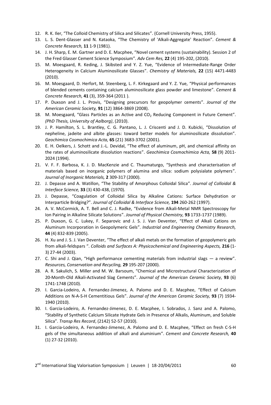- 12. R. K. Iler, "The Colloid Chemistry of Silica and Silicates". (Cornell University Press, 1955).
- 13. L. S. Dent-Glasser and N. Kataoka, "The Chemistry of 'Alkali-Aggregate' Reaction". *Cement & Concrete Research,* **11** 1-9 (1981).
- 14. J. H. Sharp, E. M. Gartner and D. E. Macphee, "Novel cement systems (sustainability). Session 2 of the Fred Glasser Cement Science Symposium". *Adv Cem Res,* **22** (4) 195-202, (2010).
- 15. M. Moesgaard, R. Keding, J. Skibsted and Y. Z. Yue, "Evidence of Intermediate-Range Order Heterogeneity in Calcium Aluminosilicate Glasses". *Chemistry of Materials,* **22** (15) 4471-4483 (2010).
- 16. M. Moesgaard, D. Herfort, M. Steenberg, L. F. Kirkegaard and Y. Z. Yue, "Physical performances of blended cements containing calcium aluminosilicate glass powder and limestone". *Cement & Concrete Research,* **41** (3), 359-364 (2011 ).
- 17. P. Duxson and J. L. Provis, "Designing precursors for geopolymer cements". *Journal of the American Ceramic Society,* **91** (12) 3864-3869 (2008).
- 18. M. Moesgaard, "Glass Particles as an Active and  $CO<sub>2</sub>$  Reducing Component in Future Cement". *(PhD Thesis, University of Aalborg)*, (2010).
- 19. J. P. Hamilton, S. L. Brantley, C. G. Pantano, L. J. Criscenti and J. D. Kubicki, "Dissolution of nepheline, jadeite and albite glasses: toward better models for aluminosilicate dissolution". *Geochimica Cosmochimica Acta,* **65** (21) 3683-3702 (2001).
- 20. E. H. Oelkers, J. Schott and J.-L. Devidal, "The effect of aluminum, pH, and chemical affinity on the rates of aluminosilicate dissolution reactions". *Geochimica Cosmochimica Acta,* **58** (9) 2011- 2024 (1994).
- 21. V. F. F. Barbosa, K. J. D. MacKenzie and C. Thaumaturgo, "Synthesis and characterisation of materials based on inorganic polymers of alumina and silica: sodium polysialate polymers". *Journal of Inorganic Materials,* **2** 309-317 (2000).
- 22. J. Depasse and A. Watillon, "The Stability of Amorphous Colloidal Silica". *Journal of Colloidal & Interface Science,* **33** (3) 430-438, (1970).
- 23. J. Depasse, "Coagulation of Colloidal Silica by Alkaline Cations: Surface Dehydration or Interparticle Bridging?". *Journal of Colloidal & Interface Science,* **194** 260-262 (1997).
- 24. A. V. McCormick, A. T. Bell and C. J. Radke, "Evidence from Alkali-Metal NMR Spectroscopy for Ion Pairing in Alkaline Silicate Solutions". *Journal of Physical Chemistry,* **93** 1733-1737 (1989).
- 25. P. Duxson, G. C. Lukey, F. Separovic and J. S. J. Van Deventer, "Effect of Alkali Cations on Aluminum Incorporation in Geopolymeric Gels". *Industrial and Engineering Chemistry Research,* **44** (4) 832-839 (2005).
- 26. H. Xu and J. S. J. Van Deventer, "The effect of alkali metals on the formation of geopolymeric gels from alkali-feldspars ". *Colloids and Surfaces A: Physicochemical and Engineering Aspects,* **216** (1- 3) 27-44 (2003).
- 27. C. Shi and J. Qian, "High performance cementing materials from industrial slags a review". *Resources, Conservation and Recycling,* **29** 195-207 (2000).
- 28. A. R. Sakulich, S. Miller and M. W. Barsoum, "Chemical and Microstructural Characterization of 20-Month-Old Alkali-Activated Slag Cements". *Journal of the American Ceramic Society,* **93** (6) 1741-1748 (2010).
- 29. I. Garcia-Lodeiro, A. Fernandez-Jimenez, A. Palomo and D. E. Macphee, "Effect of Calcium Additions on N-A-S-H Cementitious Gels". *Journal of the American Ceramic Society,* **93** (7) 1934- 1940 (2010).
- 30. I. Garcia-Lodeiro, A. Fernandez-Jimenez, D. E. Macphee, I. Sobrados, J. Sanz and A. Palomo, "Stability of Synthetic Calcium Silicate Hydrate Gels in Presence of Alkalis, Aluminum, and Soluble Silica". *Transp Res Record*, (2142) 52-57 (2010).
- 31. I. Garcia-Lodeiro, A. Fernandez-Jimenez, A. Palomo and D. E. Macphee, "Effect on fresh C-S-H gels of the simultaneous addition of alkali and aluminium". *Cement and Concrete Research,* **40** (1) 27-32 (2010).